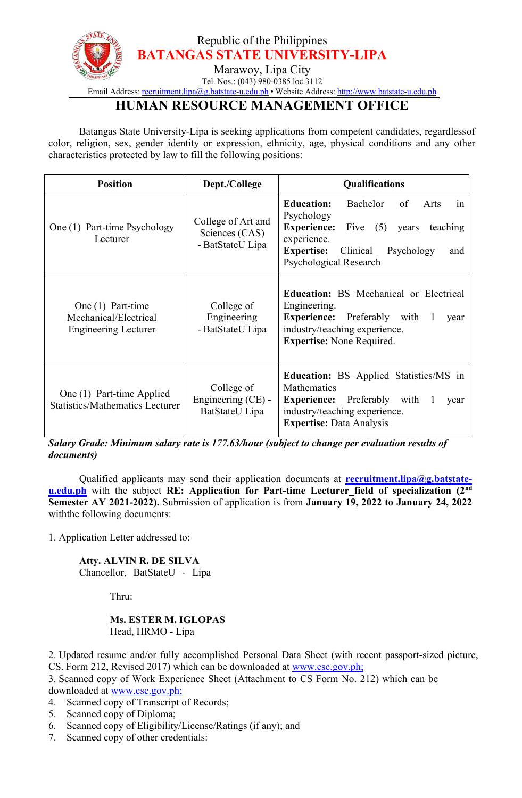

Email Address: [recruitment.lipa@g.batstate-u.edu.ph](mailto:recruitment.lipa@g.batstate-u.edu.ph) • Website Address: [http://www.batstate-u.edu.ph](http://www.batstate-u.edu.ph/)

## **HUMAN RESOURCE MANAGEMENT OFFICE**

Batangas State University-Lipa is seeking applications from competent candidates, regardlessof color, religion, sex, gender identity or expression, ethnicity, age, physical conditions and any other characteristics protected by law to fill the following positions:

| <b>Position</b>                                                             | Dept./College                                            | <b>Qualifications</b>                                                                                                                                                                                                       |
|-----------------------------------------------------------------------------|----------------------------------------------------------|-----------------------------------------------------------------------------------------------------------------------------------------------------------------------------------------------------------------------------|
| One (1) Part-time Psychology<br>Lecturer                                    | College of Art and<br>Sciences (CAS)<br>- BatStateU Lipa | <b>Education:</b><br>Bachelor<br>of<br><b>Arts</b><br>1n<br>Psychology<br><b>Experience:</b><br>Five $(5)$ years<br>teaching<br>experience.<br><b>Expertise:</b><br>Clinical<br>Psychology<br>and<br>Psychological Research |
| One $(1)$ Part-time<br>Mechanical/Electrical<br><b>Engineering Lecturer</b> | College of<br>Engineering<br>- BatStateU Lipa            | <b>Education:</b> BS Mechanical or Electrical<br>Engineering.<br><b>Experience:</b><br>Preferably with 1<br>year<br>industry/teaching experience.<br><b>Expertise:</b> None Required.                                       |
| One (1) Part-time Applied<br><b>Statistics/Mathematics Lecturer</b>         | College of<br>Engineering (CE) -<br>BatStateU Lipa       | <b>Education:</b> BS Applied Statistics/MS in<br>Mathematics<br><b>Experience:</b> Preferably with 1<br>year<br>industry/teaching experience.<br><b>Expertise: Data Analysis</b>                                            |

*Salary Grade: Minimum salary rate is 177.63/hour (subject to change per evaluation results of documents)*

Qualified applicants may send their application documents at **[recruitment.lipa@g.batstate](mailto:recruitment.lipa@g.batstate-u.edu.ph) u.edu.ph** with the subject **RE: Application for Part-time Lecturer\_field of specialization (2 nd Semester AY 2021-2022).** Submission of application is from **January 19, 2022 to January 24, 2022** withthe following documents:

1. Application Letter addressed to:

**Atty. ALVIN R. DE SILVA** Chancellor, BatStateU - Lipa

Thru:

## **Ms. ESTER M. IGLOPAS** Head, HRMO - Lipa

2. Updated resume and/or fully accomplished Personal Data Sheet (with recent passport-sized picture, CS. Form 212, Revised 2017) which can be downloaded at www.csc.gov.ph;

3. Scanned copy of Work Experience Sheet (Attachment to CS Form No. 212) which can be downloaded at www.csc.gov.ph;

- 4. Scanned copy of Transcript of Records;
- 5. Scanned copy of Diploma;
- 6. Scanned copy of Eligibility/License/Ratings (if any); and
- 7. Scanned copy of other credentials: